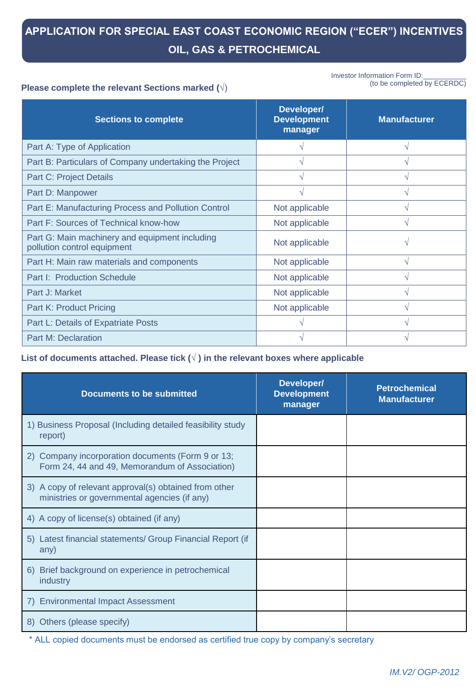# **APPLICATION FOR SPECIAL EAST COAST ECONOMIC REGION ("ECER") INCENTIVES OIL, GAS & PETROCHEMICAL**

Investor Information Form ID: (to be completed by ECERDC)

#### **Please complete the relevant Sections marked (**√)

| <b>Sections to complete</b>                                                   | Developer/<br><b>Development</b><br>manager | <b>Manufacturer</b> |
|-------------------------------------------------------------------------------|---------------------------------------------|---------------------|
| Part A: Type of Application                                                   |                                             | $\mathcal{N}$       |
| Part B: Particulars of Company undertaking the Project                        |                                             | $\sqrt{}$           |
| <b>Part C: Project Details</b>                                                |                                             | $\mathcal{N}$       |
| Part D: Manpower                                                              |                                             | $\sqrt{ }$          |
| Part E: Manufacturing Process and Pollution Control                           | Not applicable                              | $\mathcal{N}$       |
| Part F: Sources of Technical know-how                                         | Not applicable                              | $\mathcal{N}$       |
| Part G: Main machinery and equipment including<br>pollution control equipment | Not applicable                              | N                   |
| Part H: Main raw materials and components                                     | Not applicable                              | $\mathcal{N}$       |
| Part I: Production Schedule                                                   | Not applicable                              | N                   |
| Part J: Market                                                                | Not applicable                              | $\sqrt{}$           |
| Part K: Product Pricing                                                       | Not applicable                              | ٨                   |
| Part L: Details of Expatriate Posts                                           |                                             | N                   |
| <b>Part M: Declaration</b>                                                    |                                             |                     |

**List of documents attached. Please tick (√ ) in the relevant boxes where applicable**

| <b>Documents to be submitted</b>                                                                      | Developer/<br><b>Development</b><br>manager | <b>Petrochemical</b><br><b>Manufacturer</b> |
|-------------------------------------------------------------------------------------------------------|---------------------------------------------|---------------------------------------------|
| 1) Business Proposal (Including detailed feasibility study<br>report)                                 |                                             |                                             |
| 2) Company incorporation documents (Form 9 or 13;<br>Form 24, 44 and 49, Memorandum of Association)   |                                             |                                             |
| 3) A copy of relevant approval(s) obtained from other<br>ministries or governmental agencies (if any) |                                             |                                             |
| 4) A copy of license(s) obtained (if any)                                                             |                                             |                                             |
| 5) Latest financial statements/ Group Financial Report (if<br>any)                                    |                                             |                                             |
| Brief background on experience in petrochemical<br>6)<br>industry                                     |                                             |                                             |
| <b>Environmental Impact Assessment</b><br>7)                                                          |                                             |                                             |
| Others (please specify)<br>8)                                                                         |                                             |                                             |

\* ALL copied documents must be endorsed as certified true copy by company's secretary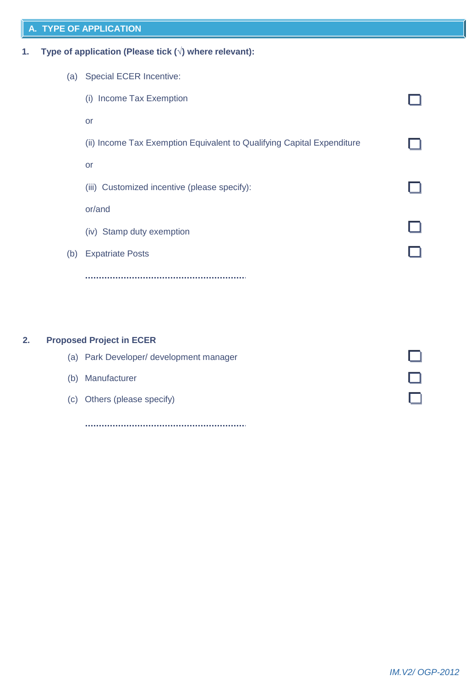# **A. TYPE OF APPLICATION**

**1. Type of application (Please tick (**√**) where relevant):**

| (a) | <b>Special ECER Incentive:</b>                                         |  |
|-----|------------------------------------------------------------------------|--|
|     | Income Tax Exemption<br>(i)                                            |  |
|     | or                                                                     |  |
|     | (ii) Income Tax Exemption Equivalent to Qualifying Capital Expenditure |  |
|     | or                                                                     |  |
|     | (iii) Customized incentive (please specify):                           |  |
|     | or/and                                                                 |  |
|     | (iv) Stamp duty exemption                                              |  |
| (b) | <b>Expatriate Posts</b>                                                |  |
|     |                                                                        |  |
|     |                                                                        |  |

## **2. Proposed Project in ECER**

|     | (a) Park Developer/ development manager |  |
|-----|-----------------------------------------|--|
| (b) | Manufacturer                            |  |
|     | (c) Others (please specify)             |  |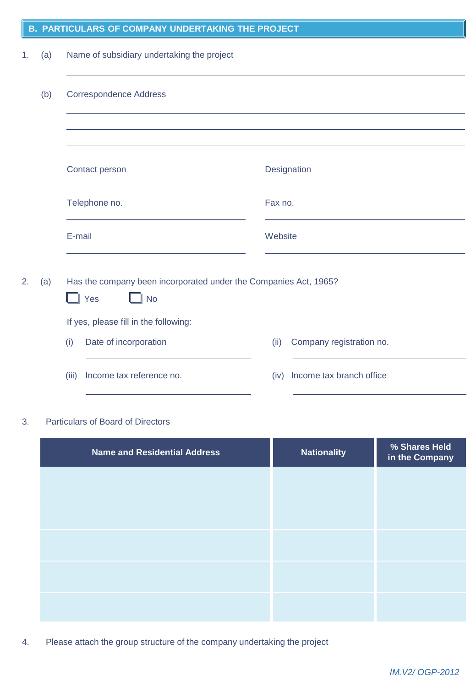|    | <b>B. PARTIGULARS OF COMPANT UNDERTANING THE PROJECT</b> |                                                                                      |                                  |  |  |  |
|----|----------------------------------------------------------|--------------------------------------------------------------------------------------|----------------------------------|--|--|--|
| 1. | (a)                                                      | Name of subsidiary undertaking the project                                           |                                  |  |  |  |
|    | (b)                                                      | <b>Correspondence Address</b>                                                        |                                  |  |  |  |
|    |                                                          |                                                                                      |                                  |  |  |  |
|    |                                                          | Contact person                                                                       | Designation                      |  |  |  |
|    |                                                          | Telephone no.                                                                        | Fax no.                          |  |  |  |
|    |                                                          | E-mail<br>Website                                                                    |                                  |  |  |  |
| 2. | (a)                                                      | Has the company been incorporated under the Companies Act, 1965?<br><b>No</b><br>Yes |                                  |  |  |  |
|    |                                                          | If yes, please fill in the following:                                                |                                  |  |  |  |
|    |                                                          | Date of incorporation<br>(i)                                                         | Company registration no.<br>(ii) |  |  |  |
|    |                                                          | Income tax reference no.<br>(iii)                                                    | Income tax branch office<br>(iv) |  |  |  |

**B. PARTICULARS OF COMPANY UNDERTAKING THE PROJECT**

# 3. Particulars of Board of Directors

| <b>Name and Residential Address</b> | <b>Nationality</b> | % Shares Held<br>in the Company |
|-------------------------------------|--------------------|---------------------------------|
|                                     |                    |                                 |
|                                     |                    |                                 |
|                                     |                    |                                 |
|                                     |                    |                                 |
|                                     |                    |                                 |

4. Please attach the group structure of the company undertaking the project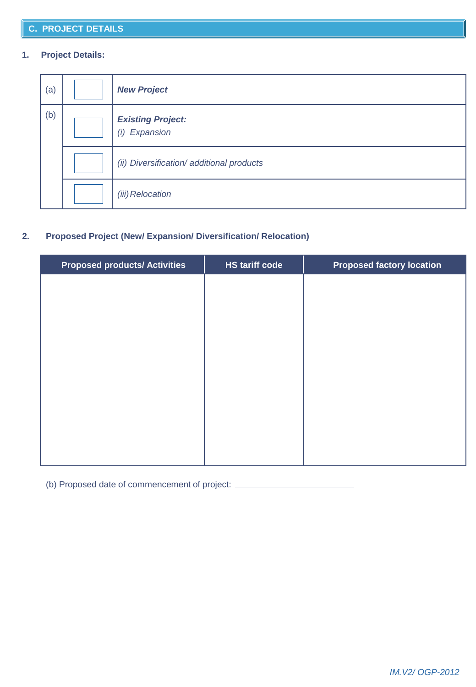# **1. Project Details:**

| (a) | <b>New Project</b>                        |
|-----|-------------------------------------------|
| (b) | <b>Existing Project:</b><br>(i) Expansion |
|     | (ii) Diversification/ additional products |
|     | (iii) Relocation                          |

## **2. Proposed Project (New/ Expansion/ Diversification/ Relocation)**

| <b>Proposed products/ Activities</b> | <b>HS tariff code</b> | <b>Proposed factory location</b> |
|--------------------------------------|-----------------------|----------------------------------|
|                                      |                       |                                  |
|                                      |                       |                                  |
|                                      |                       |                                  |
|                                      |                       |                                  |
|                                      |                       |                                  |
|                                      |                       |                                  |
|                                      |                       |                                  |
|                                      |                       |                                  |
|                                      |                       |                                  |
|                                      |                       |                                  |
|                                      |                       |                                  |

(b) Proposed date of commencement of project: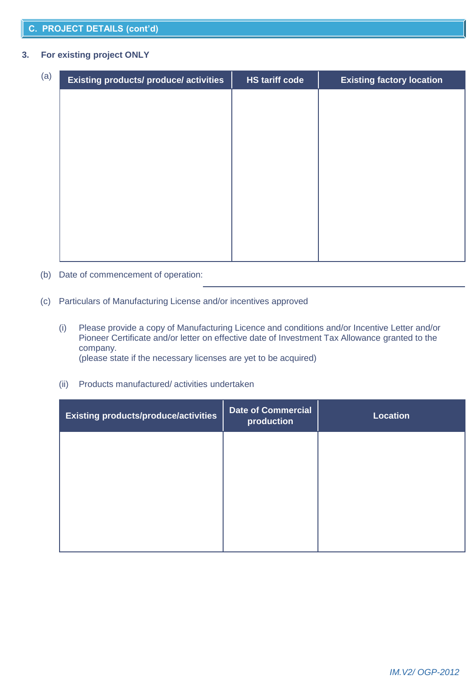#### **C. PROJECT DETAILS (cont'd)**

#### **3. For existing project ONLY**

| (a) | <b>Existing products/ produce/ activities</b> | <b>HS tariff code</b> | <b>Existing factory location</b> |
|-----|-----------------------------------------------|-----------------------|----------------------------------|
|     |                                               |                       |                                  |
|     |                                               |                       |                                  |
|     |                                               |                       |                                  |
|     |                                               |                       |                                  |
|     |                                               |                       |                                  |
|     |                                               |                       |                                  |
|     |                                               |                       |                                  |
|     |                                               |                       |                                  |
|     |                                               |                       |                                  |

- (b) Date of commencement of operation:
- (c) Particulars of Manufacturing License and/or incentives approved
	- (i) Please provide a copy of Manufacturing Licence and conditions and/or Incentive Letter and/or Pioneer Certificate and/or letter on effective date of Investment Tax Allowance granted to the company. (please state if the necessary licenses are yet to be acquired)

(ii) Products manufactured/ activities undertaken

| <b>Existing products/produce/activities</b> | <b>Date of Commercial</b><br>production | <b>Location</b> |
|---------------------------------------------|-----------------------------------------|-----------------|
|                                             |                                         |                 |
|                                             |                                         |                 |
|                                             |                                         |                 |
|                                             |                                         |                 |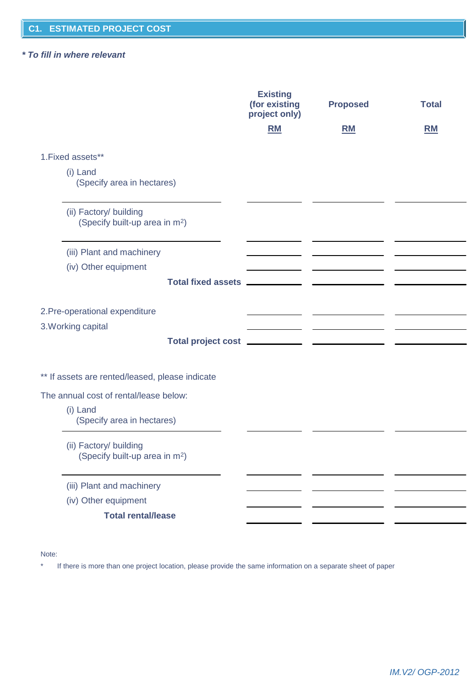#### *\* To fill in where relevant*

|                                                                      | <b>Existing</b><br>(for existing<br>project only) | <b>Proposed</b> | <b>Total</b> |
|----------------------------------------------------------------------|---------------------------------------------------|-----------------|--------------|
|                                                                      | <b>RM</b>                                         | <b>RM</b>       | <b>RM</b>    |
| 1. Fixed assets**                                                    |                                                   |                 |              |
| (i) Land<br>(Specify area in hectares)                               |                                                   |                 |              |
| (ii) Factory/ building<br>(Specify built-up area in m <sup>2</sup> ) |                                                   |                 |              |
| (iii) Plant and machinery                                            |                                                   |                 |              |
| (iv) Other equipment                                                 |                                                   |                 |              |
| Total fixed assets __________                                        |                                                   |                 |              |
| 2. Pre-operational expenditure                                       |                                                   |                 |              |
| 3. Working capital                                                   |                                                   |                 |              |
|                                                                      |                                                   |                 |              |
| ** If assets are rented/leased, please indicate                      |                                                   |                 |              |
| The annual cost of rental/lease below:                               |                                                   |                 |              |
| (i) Land<br>(Specify area in hectares)                               |                                                   |                 |              |
| (ii) Factory/ building<br>(Specify built-up area in m <sup>2</sup> ) |                                                   |                 |              |
| (iii) Plant and machinery                                            |                                                   |                 |              |
| (iv) Other equipment                                                 |                                                   |                 |              |
| <b>Total rental/lease</b>                                            |                                                   |                 |              |

Note:

\* If there is more than one project location, please provide the same information on a separate sheet of paper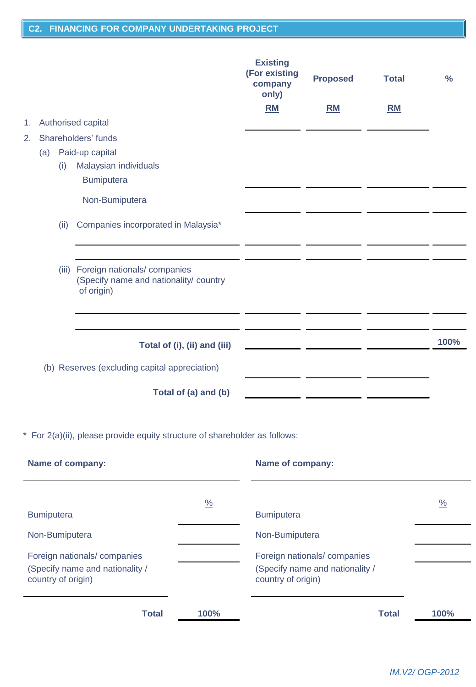|    |      |                                                                                           | <b>Existing</b><br>(For existing<br>company<br>only) | <b>Proposed</b>                              | <b>Total</b> | $\frac{0}{0}$ |
|----|------|-------------------------------------------------------------------------------------------|------------------------------------------------------|----------------------------------------------|--------------|---------------|
|    |      |                                                                                           | <b>RM</b>                                            | <b>RM</b>                                    | <b>RM</b>    |               |
| 1. |      | Authorised capital                                                                        |                                                      |                                              |              |               |
| 2. |      | Shareholders' funds                                                                       |                                                      |                                              |              |               |
|    | (a)  | Paid-up capital                                                                           |                                                      |                                              |              |               |
|    | (i)  | Malaysian individuals                                                                     |                                                      |                                              |              |               |
|    |      | Bumiputera                                                                                |                                                      |                                              |              |               |
|    |      | Non-Bumiputera                                                                            |                                                      |                                              |              |               |
|    | (ii) | Companies incorporated in Malaysia*                                                       |                                                      |                                              |              |               |
|    |      | (iii) Foreign nationals/companies<br>(Specify name and nationality/ country<br>of origin) |                                                      |                                              |              |               |
|    |      | Total of (i), (ii) and (iii)<br>(b) Reserves (excluding capital appreciation)             |                                                      | the control of the control of the control of |              | 100%          |
|    |      | Total of (a) and (b)                                                                      |                                                      |                                              |              |               |

\* For 2(a)(ii), please provide equity structure of shareholder as follows:

| <b>Name of company:</b>                                                              |               | Name of company:                                                                     |               |
|--------------------------------------------------------------------------------------|---------------|--------------------------------------------------------------------------------------|---------------|
| <b>Bumiputera</b>                                                                    | $\frac{0}{0}$ | <b>Bumiputera</b>                                                                    | $\frac{0}{0}$ |
| Non-Bumiputera                                                                       |               | Non-Bumiputera                                                                       |               |
| Foreign nationals/companies<br>(Specify name and nationality /<br>country of origin) |               | Foreign nationals/companies<br>(Specify name and nationality /<br>country of origin) |               |
| <b>Total</b>                                                                         | 100%          | <b>Total</b>                                                                         | 100%          |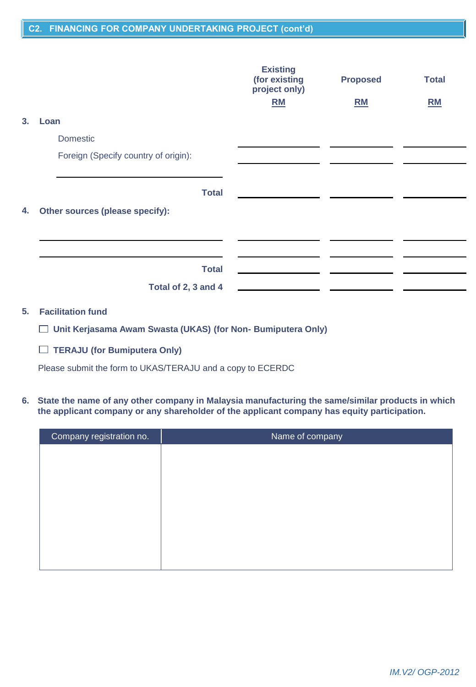#### **C2. FINANCING FOR COMPANY UNDERTAKING PROJECT (cont'd)**

|    |                                      | <b>Existing</b><br>(for existing<br>project only) | <b>Proposed</b> | <b>Total</b> |
|----|--------------------------------------|---------------------------------------------------|-----------------|--------------|
|    |                                      | RM                                                | RM              | RM           |
| 3. | Loan                                 |                                                   |                 |              |
|    | <b>Domestic</b>                      |                                                   |                 |              |
|    | Foreign (Specify country of origin): |                                                   |                 |              |
|    | <b>Total</b>                         |                                                   |                 |              |
| 4. | Other sources (please specify):      |                                                   |                 |              |
|    |                                      |                                                   |                 |              |
|    |                                      |                                                   |                 |              |
|    | <b>Total</b>                         |                                                   |                 |              |
|    | Total of 2, 3 and 4                  |                                                   |                 |              |

## **5. Facilitation fund**

**Unit Kerjasama Awam Swasta (UKAS) (for Non- Bumiputera Only)**

**TERAJU (for Bumiputera Only)**

Please submit the form to UKAS/TERAJU and a copy to ECERDC

**6. State the name of any other company in Malaysia manufacturing the same/similar products in which the applicant company or any shareholder of the applicant company has equity participation.**

| Company registration no. | Name of company |
|--------------------------|-----------------|
|                          |                 |
|                          |                 |
|                          |                 |
|                          |                 |
|                          |                 |
|                          |                 |
|                          |                 |
|                          |                 |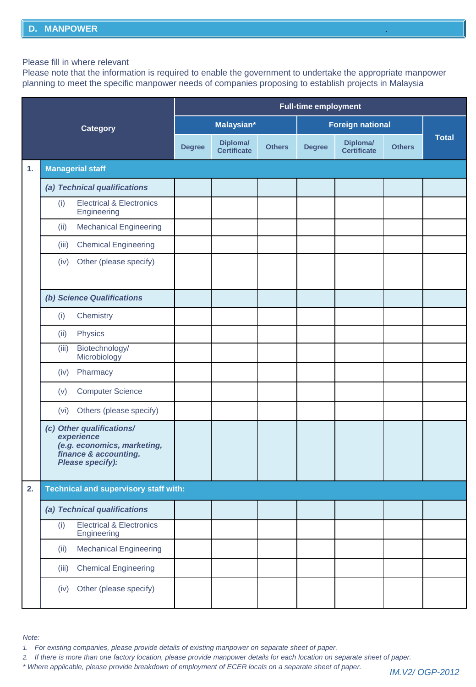Please fill in where relevant

Please note that the information is required to enable the government to undertake the appropriate manpower planning to meet the specific manpower needs of companies proposing to establish projects in Malaysia

|    |                                                                                                                     | <b>Full-time employment</b> |                         |               |               |                         |               |              |
|----|---------------------------------------------------------------------------------------------------------------------|-----------------------------|-------------------------|---------------|---------------|-------------------------|---------------|--------------|
|    | <b>Category</b>                                                                                                     |                             | Malaysian*              |               |               | <b>Foreign national</b> |               |              |
|    |                                                                                                                     | <b>Degree</b>               | Diploma/<br>Certificate | <b>Others</b> | <b>Degree</b> | Diploma/<br>Certificate | <b>Others</b> | <b>Total</b> |
| 1. | <b>Managerial staff</b>                                                                                             |                             |                         |               |               |                         |               |              |
|    | (a) Technical qualifications                                                                                        |                             |                         |               |               |                         |               |              |
|    | <b>Electrical &amp; Electronics</b><br>(i)<br>Engineering                                                           |                             |                         |               |               |                         |               |              |
|    | (ii)<br><b>Mechanical Engineering</b>                                                                               |                             |                         |               |               |                         |               |              |
|    | <b>Chemical Engineering</b><br>(iii)                                                                                |                             |                         |               |               |                         |               |              |
|    | Other (please specify)<br>(iv)                                                                                      |                             |                         |               |               |                         |               |              |
|    | (b) Science Qualifications                                                                                          |                             |                         |               |               |                         |               |              |
|    | Chemistry<br>(i)                                                                                                    |                             |                         |               |               |                         |               |              |
|    | Physics<br>(ii)                                                                                                     |                             |                         |               |               |                         |               |              |
|    | Biotechnology/<br>(iii)<br>Microbiology                                                                             |                             |                         |               |               |                         |               |              |
|    | Pharmacy<br>(iv)                                                                                                    |                             |                         |               |               |                         |               |              |
|    | <b>Computer Science</b><br>(v)                                                                                      |                             |                         |               |               |                         |               |              |
|    | Others (please specify)<br>(vi)                                                                                     |                             |                         |               |               |                         |               |              |
|    | (c) Other qualifications/<br>experience<br>(e.g. economics, marketing,<br>finance & accounting.<br>Please specify): |                             |                         |               |               |                         |               |              |
| 2. | Technical and supervisory staff with:                                                                               |                             |                         |               |               |                         |               |              |
|    | (a) Technical qualifications                                                                                        |                             |                         |               |               |                         |               |              |
|    | <b>Electrical &amp; Electronics</b><br>(i)<br>Engineering                                                           |                             |                         |               |               |                         |               |              |
|    | <b>Mechanical Engineering</b><br>(ii)                                                                               |                             |                         |               |               |                         |               |              |
|    | <b>Chemical Engineering</b><br>(iii)                                                                                |                             |                         |               |               |                         |               |              |
|    | Other (please specify)<br>(iv)                                                                                      |                             |                         |               |               |                         |               |              |

*Note:*

*1. For existing companies, please provide details of existing manpower on separate sheet of paper.*

*2. If there is more than one factory location, please provide manpower details for each location on separate sheet of paper.*

*\* Where applicable, please provide breakdown of employment of ECER locals on a separate sheet of paper.*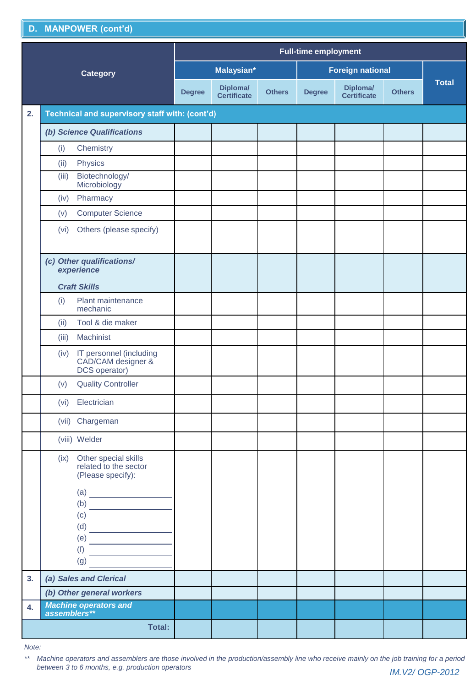|    | D. MANPOWER (cont'd)                                                                                                                                                                                                                                                                                                                                                                                                                                                                                                                                                                                                                                                                                                                                                                                                                                                                                                                                                                                       |               |                         |               |                         |                         |               |              |
|----|------------------------------------------------------------------------------------------------------------------------------------------------------------------------------------------------------------------------------------------------------------------------------------------------------------------------------------------------------------------------------------------------------------------------------------------------------------------------------------------------------------------------------------------------------------------------------------------------------------------------------------------------------------------------------------------------------------------------------------------------------------------------------------------------------------------------------------------------------------------------------------------------------------------------------------------------------------------------------------------------------------|---------------|-------------------------|---------------|-------------------------|-------------------------|---------------|--------------|
|    | <b>Full-time employment</b>                                                                                                                                                                                                                                                                                                                                                                                                                                                                                                                                                                                                                                                                                                                                                                                                                                                                                                                                                                                |               |                         |               |                         |                         |               |              |
|    | <b>Category</b>                                                                                                                                                                                                                                                                                                                                                                                                                                                                                                                                                                                                                                                                                                                                                                                                                                                                                                                                                                                            | Malaysian*    |                         |               | <b>Foreign national</b> |                         |               |              |
|    |                                                                                                                                                                                                                                                                                                                                                                                                                                                                                                                                                                                                                                                                                                                                                                                                                                                                                                                                                                                                            | <b>Degree</b> | Diploma/<br>Certificate | <b>Others</b> | <b>Degree</b>           | Diploma/<br>Certificate | <b>Others</b> | <b>Total</b> |
| 2. | Technical and supervisory staff with: (cont'd)                                                                                                                                                                                                                                                                                                                                                                                                                                                                                                                                                                                                                                                                                                                                                                                                                                                                                                                                                             |               |                         |               |                         |                         |               |              |
|    | (b) Science Qualifications                                                                                                                                                                                                                                                                                                                                                                                                                                                                                                                                                                                                                                                                                                                                                                                                                                                                                                                                                                                 |               |                         |               |                         |                         |               |              |
|    | Chemistry<br>(i)                                                                                                                                                                                                                                                                                                                                                                                                                                                                                                                                                                                                                                                                                                                                                                                                                                                                                                                                                                                           |               |                         |               |                         |                         |               |              |
|    | Physics<br>(ii)                                                                                                                                                                                                                                                                                                                                                                                                                                                                                                                                                                                                                                                                                                                                                                                                                                                                                                                                                                                            |               |                         |               |                         |                         |               |              |
|    | Biotechnology/<br>(iii)<br>Microbiology                                                                                                                                                                                                                                                                                                                                                                                                                                                                                                                                                                                                                                                                                                                                                                                                                                                                                                                                                                    |               |                         |               |                         |                         |               |              |
|    | Pharmacy<br>(iv)                                                                                                                                                                                                                                                                                                                                                                                                                                                                                                                                                                                                                                                                                                                                                                                                                                                                                                                                                                                           |               |                         |               |                         |                         |               |              |
|    | <b>Computer Science</b><br>(v)                                                                                                                                                                                                                                                                                                                                                                                                                                                                                                                                                                                                                                                                                                                                                                                                                                                                                                                                                                             |               |                         |               |                         |                         |               |              |
|    | Others (please specify)<br>(vi)                                                                                                                                                                                                                                                                                                                                                                                                                                                                                                                                                                                                                                                                                                                                                                                                                                                                                                                                                                            |               |                         |               |                         |                         |               |              |
|    | (c) Other qualifications/<br>experience<br><b>Craft Skills</b>                                                                                                                                                                                                                                                                                                                                                                                                                                                                                                                                                                                                                                                                                                                                                                                                                                                                                                                                             |               |                         |               |                         |                         |               |              |
|    | Plant maintenance<br>(i)<br>mechanic                                                                                                                                                                                                                                                                                                                                                                                                                                                                                                                                                                                                                                                                                                                                                                                                                                                                                                                                                                       |               |                         |               |                         |                         |               |              |
|    | Tool & die maker<br>(ii)                                                                                                                                                                                                                                                                                                                                                                                                                                                                                                                                                                                                                                                                                                                                                                                                                                                                                                                                                                                   |               |                         |               |                         |                         |               |              |
|    | Machinist<br>(iii)                                                                                                                                                                                                                                                                                                                                                                                                                                                                                                                                                                                                                                                                                                                                                                                                                                                                                                                                                                                         |               |                         |               |                         |                         |               |              |
|    | IT personnel (including<br>(iv)<br>CAD/CAM designer &<br>DCS operator)                                                                                                                                                                                                                                                                                                                                                                                                                                                                                                                                                                                                                                                                                                                                                                                                                                                                                                                                     |               |                         |               |                         |                         |               |              |
|    | <b>Quality Controller</b><br>(v)                                                                                                                                                                                                                                                                                                                                                                                                                                                                                                                                                                                                                                                                                                                                                                                                                                                                                                                                                                           |               |                         |               |                         |                         |               |              |
|    | Electrician<br>(vi)                                                                                                                                                                                                                                                                                                                                                                                                                                                                                                                                                                                                                                                                                                                                                                                                                                                                                                                                                                                        |               |                         |               |                         |                         |               |              |
|    | (vii) Chargeman                                                                                                                                                                                                                                                                                                                                                                                                                                                                                                                                                                                                                                                                                                                                                                                                                                                                                                                                                                                            |               |                         |               |                         |                         |               |              |
|    | (viii) Welder                                                                                                                                                                                                                                                                                                                                                                                                                                                                                                                                                                                                                                                                                                                                                                                                                                                                                                                                                                                              |               |                         |               |                         |                         |               |              |
|    | (ix) Other special skills<br>related to the sector<br>(Please specify):<br>$\begin{array}{c}\n\text{(a)} \quad \text{(b)} \quad \text{(c)} \quad \text{(d)} \quad \text{(e)} \quad \text{(f)} \quad \text{(g)} \quad \text{(h)} \quad \text{(i)} \quad \text{(ii)} \quad \text{(iii)} \quad \text{(iv)} \quad \text{(iv)} \quad \text{(v)} \quad \text{(v)} \quad \text{(v)} \quad \text{(v)} \quad \text{(v)} \quad \text{(v)} \quad \text{(v)} \quad \text{(v)} \quad \text{(v)} \quad \text{(v)} \quad \text{(v)} \quad \text{(v)} \quad \text{(v)} \quad \text{(v)} \quad \text{(v)} \quad \text{(v)} \quad \text{(v)} \quad \text$<br>(C)<br>$\begin{picture}(150,10) \put(0,0){\line(1,0){10}} \put(0,0){\line(1,0){10}} \put(0,0){\line(1,0){10}} \put(0,0){\line(1,0){10}} \put(0,0){\line(1,0){10}} \put(0,0){\line(1,0){10}} \put(0,0){\line(1,0){10}} \put(0,0){\line(1,0){10}} \put(0,0){\line(1,0){10}} \put(0,0){\line(1,0){10}} \put(0,0){\line(1,0){10}} \put(0,0){\line(1,0){10}} \put(0$ |               |                         |               |                         |                         |               |              |
|    | (e)<br>(f)<br>(g)                                                                                                                                                                                                                                                                                                                                                                                                                                                                                                                                                                                                                                                                                                                                                                                                                                                                                                                                                                                          |               |                         |               |                         |                         |               |              |
| 3. | (a) Sales and Clerical                                                                                                                                                                                                                                                                                                                                                                                                                                                                                                                                                                                                                                                                                                                                                                                                                                                                                                                                                                                     |               |                         |               |                         |                         |               |              |
|    | (b) Other general workers                                                                                                                                                                                                                                                                                                                                                                                                                                                                                                                                                                                                                                                                                                                                                                                                                                                                                                                                                                                  |               |                         |               |                         |                         |               |              |
| 4. | <b>Machine operators and</b><br>assemblers**                                                                                                                                                                                                                                                                                                                                                                                                                                                                                                                                                                                                                                                                                                                                                                                                                                                                                                                                                               |               |                         |               |                         |                         |               |              |
|    | <b>Total:</b>                                                                                                                                                                                                                                                                                                                                                                                                                                                                                                                                                                                                                                                                                                                                                                                                                                                                                                                                                                                              |               |                         |               |                         |                         |               |              |

*Note:*

*\*\* Machine operators and assemblers are those involved in the production/assembly line who receive mainly on the job training for a period between 3 to 6 months, e.g. production operators IM.V2/ OGP-2012*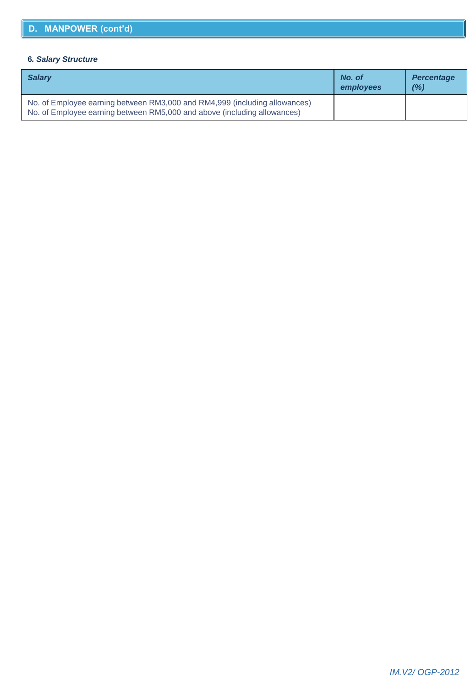#### **6***. Salary Structure*

| <b>Salary</b>                                                                                                                                          | No. of<br>employees | <b>Percentage</b><br>(%) |
|--------------------------------------------------------------------------------------------------------------------------------------------------------|---------------------|--------------------------|
| No. of Employee earning between RM3,000 and RM4,999 (including allowances)<br>No. of Employee earning between RM5,000 and above (including allowances) |                     |                          |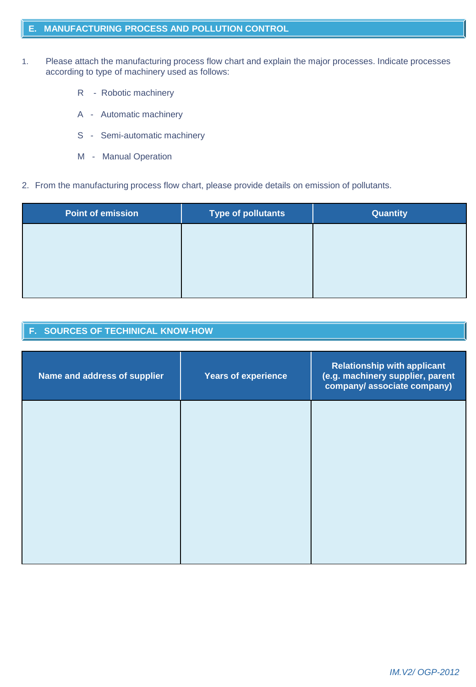- 1. Please attach the manufacturing process flow chart and explain the major processes. Indicate processes according to type of machinery used as follows:
	- R Robotic machinery
	- A Automatic machinery
	- S Semi-automatic machinery
	- M Manual Operation
- 2. From the manufacturing process flow chart, please provide details on emission of pollutants.

| <b>Point of emission</b> | <b>Type of pollutants</b> | <b>Quantity</b> |
|--------------------------|---------------------------|-----------------|
|                          |                           |                 |
|                          |                           |                 |
|                          |                           |                 |
|                          |                           |                 |

## **F. SOURCES OF TECHINICAL KNOW-HOW**

| Name and address of supplier | <b>Years of experience</b> | <b>Relationship with applicant</b><br>(e.g. machinery supplier, parent<br>company/associate company) |
|------------------------------|----------------------------|------------------------------------------------------------------------------------------------------|
|                              |                            |                                                                                                      |
|                              |                            |                                                                                                      |
|                              |                            |                                                                                                      |
|                              |                            |                                                                                                      |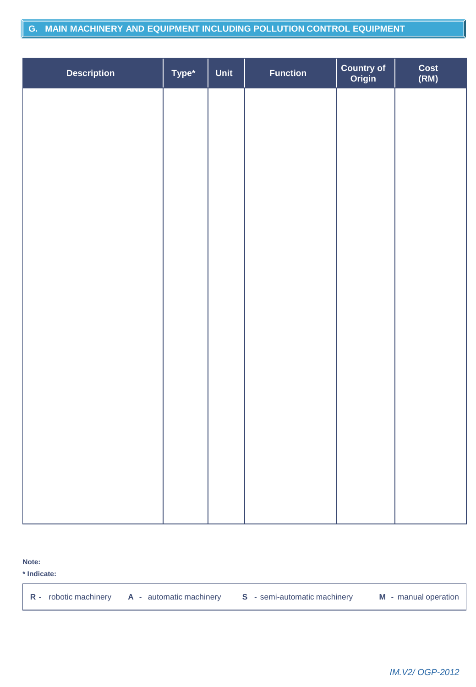#### **G. MAIN MACHINERY AND EQUIPMENT INCLUDING POLLUTION CONTROL EQUIPMENT**

| <b>Description</b> | Type* | Unit | <b>Function</b> | <b>Country of<br/>Origin</b> | Cost<br>(RM) |
|--------------------|-------|------|-----------------|------------------------------|--------------|
|                    |       |      |                 |                              |              |
|                    |       |      |                 |                              |              |
|                    |       |      |                 |                              |              |
|                    |       |      |                 |                              |              |
|                    |       |      |                 |                              |              |
|                    |       |      |                 |                              |              |
|                    |       |      |                 |                              |              |
|                    |       |      |                 |                              |              |
|                    |       |      |                 |                              |              |
|                    |       |      |                 |                              |              |
|                    |       |      |                 |                              |              |
|                    |       |      |                 |                              |              |
|                    |       |      |                 |                              |              |

**Note:**

**\* Indicate:**

**R** - robotic machinery **A** - automatic machinery **S** - semi-automatic machinery **M** - manual operation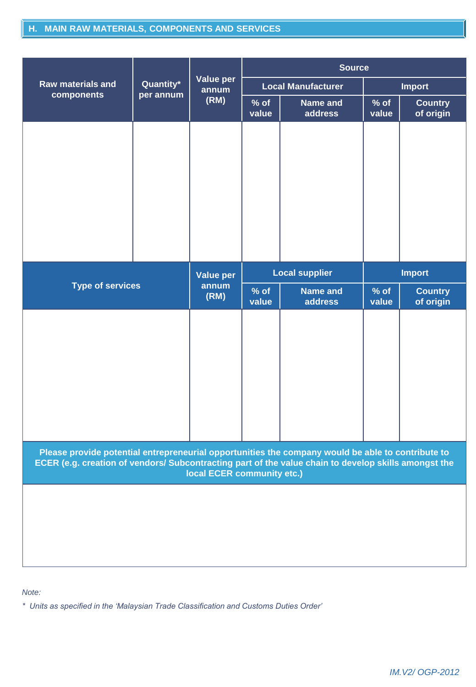# **H. MAIN RAW MATERIALS, COMPONENTS AND SERVICES**

|                                                                                                                                                                                                                                         |                         |                           | <b>Source</b>         |                                   |                 |                             |
|-----------------------------------------------------------------------------------------------------------------------------------------------------------------------------------------------------------------------------------------|-------------------------|---------------------------|-----------------------|-----------------------------------|-----------------|-----------------------------|
| <b>Raw materials and</b>                                                                                                                                                                                                                | Quantity*<br>per annum  | Value per<br>annum        |                       | <b>Local Manufacturer</b>         |                 | <b>Import</b>               |
| components                                                                                                                                                                                                                              |                         | (RM)                      | $%$ of<br>value       | Name and<br>address               | $%$ of<br>value | <b>Country</b><br>of origin |
|                                                                                                                                                                                                                                         |                         |                           |                       |                                   |                 |                             |
|                                                                                                                                                                                                                                         |                         | <b>Value per</b><br>annum | <b>Local supplier</b> |                                   | <b>Import</b>   |                             |
|                                                                                                                                                                                                                                         | <b>Type of services</b> |                           | $%$ of<br>value       | <b>Name and</b><br><b>address</b> | $%$ of<br>value | <b>Country</b><br>of origin |
|                                                                                                                                                                                                                                         |                         |                           |                       |                                   |                 |                             |
| Please provide potential entrepreneurial opportunities the company would be able to contribute to<br>ECER (e.g. creation of vendors/ Subcontracting part of the value chain to develop skills amongst the<br>local ECER community etc.) |                         |                           |                       |                                   |                 |                             |
|                                                                                                                                                                                                                                         |                         |                           |                       |                                   |                 |                             |

*Note:*

*\* Units as specified in the 'Malaysian Trade Classification and Customs Duties Order'*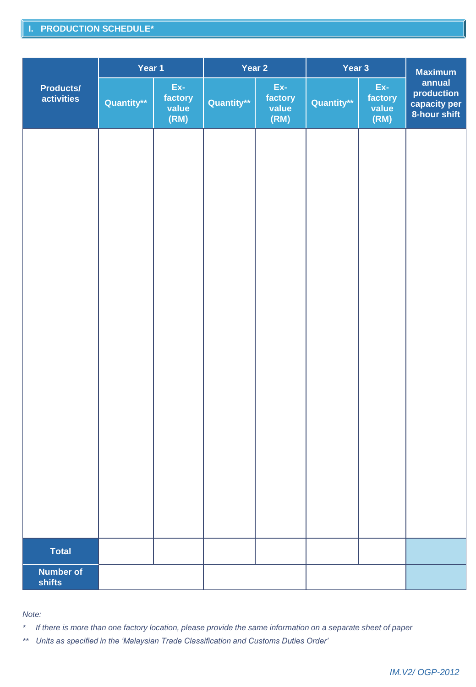# **I. PRODUCTION SCHEDULE\***

|                                | Year 1     |                                 |            | Year 2                          | Year 3     | <b>Maximum</b>                  |                                                      |
|--------------------------------|------------|---------------------------------|------------|---------------------------------|------------|---------------------------------|------------------------------------------------------|
| <b>Products/</b><br>activities | Quantity** | Ex-<br>factory<br>value<br>(RM) | Quantity** | Ex-<br>factory<br>value<br>(RM) | Quantity** | Ex-<br>factory<br>value<br>(RM) | annual<br>production<br>capacity per<br>8-hour shift |
|                                |            |                                 |            |                                 |            |                                 |                                                      |
|                                |            |                                 |            |                                 |            |                                 |                                                      |
|                                |            |                                 |            |                                 |            |                                 |                                                      |
|                                |            |                                 |            |                                 |            |                                 |                                                      |
|                                |            |                                 |            |                                 |            |                                 |                                                      |
|                                |            |                                 |            |                                 |            |                                 |                                                      |
|                                |            |                                 |            |                                 |            |                                 |                                                      |
|                                |            |                                 |            |                                 |            |                                 |                                                      |
|                                |            |                                 |            |                                 |            |                                 |                                                      |
|                                |            |                                 |            |                                 |            |                                 |                                                      |
| <b>Total</b>                   |            |                                 |            |                                 |            |                                 |                                                      |
| <b>Number of</b><br>shifts     |            |                                 |            |                                 |            |                                 |                                                      |

#### *Note:*

*\* If there is more than one factory location, please provide the same information on a separate sheet of paper*

*\*\* Units as specified in the 'Malaysian Trade Classification and Customs Duties Order'*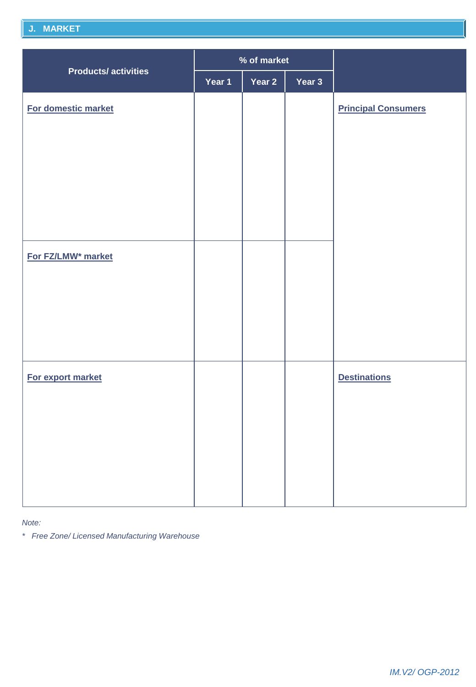## **J. MARKET**

|                                | % of market |        |        |                            |
|--------------------------------|-------------|--------|--------|----------------------------|
| <b>Products/activities</b>     | Year 1      | Year 2 | Year 3 |                            |
| For domestic market            |             |        |        | <b>Principal Consumers</b> |
| For FZ/LMW <sup>*</sup> market |             |        |        |                            |
| For export market              |             |        |        | <b>Destinations</b>        |

*Note:*

*\* Free Zone/ Licensed Manufacturing Warehouse*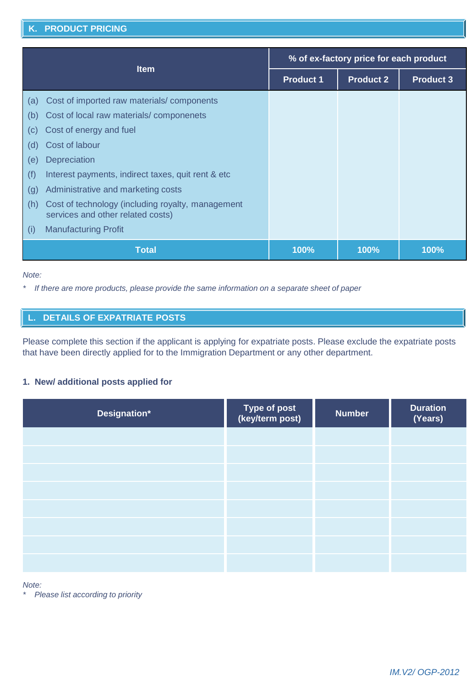#### **K. PRODUCT PRICING**

| <b>Item</b>                |                                                                                        | % of ex-factory price for each product |                  |                  |
|----------------------------|----------------------------------------------------------------------------------------|----------------------------------------|------------------|------------------|
|                            |                                                                                        | <b>Product 1</b>                       | <b>Product 2</b> | <b>Product 3</b> |
| (a)                        | Cost of imported raw materials/components                                              |                                        |                  |                  |
| (b)                        | Cost of local raw materials/componenets                                                |                                        |                  |                  |
| $\left( \mathrm{c}\right)$ | Cost of energy and fuel                                                                |                                        |                  |                  |
| (d)                        | Cost of labour                                                                         |                                        |                  |                  |
| (e)                        | Depreciation                                                                           |                                        |                  |                  |
| (f)                        | Interest payments, indirect taxes, quit rent & etc                                     |                                        |                  |                  |
| (g)                        | Administrative and marketing costs                                                     |                                        |                  |                  |
| (h)                        | Cost of technology (including royalty, management<br>services and other related costs) |                                        |                  |                  |
| (i)                        | <b>Manufacturing Profit</b>                                                            |                                        |                  |                  |
|                            | <b>Total</b>                                                                           | 100%                                   | 100%             | 100%             |

#### *Note:*

*\* If there are more products, please provide the same information on a separate sheet of paper*

# **DETAILS OF EXPATRIATE POSTS**

Please complete this section if the applicant is applying for expatriate posts. Please exclude the expatriate posts that have been directly applied for to the Immigration Department or any other department.

#### **1. New/ additional posts applied for**

| Designation* | Type of post<br>(key/term post) | <b>Number</b> | <b>Duration</b><br>$(\overline{\mathsf{Years}})$ |
|--------------|---------------------------------|---------------|--------------------------------------------------|
|              |                                 |               |                                                  |
|              |                                 |               |                                                  |
|              |                                 |               |                                                  |
|              |                                 |               |                                                  |
|              |                                 |               |                                                  |
|              |                                 |               |                                                  |
|              |                                 |               |                                                  |
|              |                                 |               |                                                  |

*Note:*

*\* Please list according to priority*